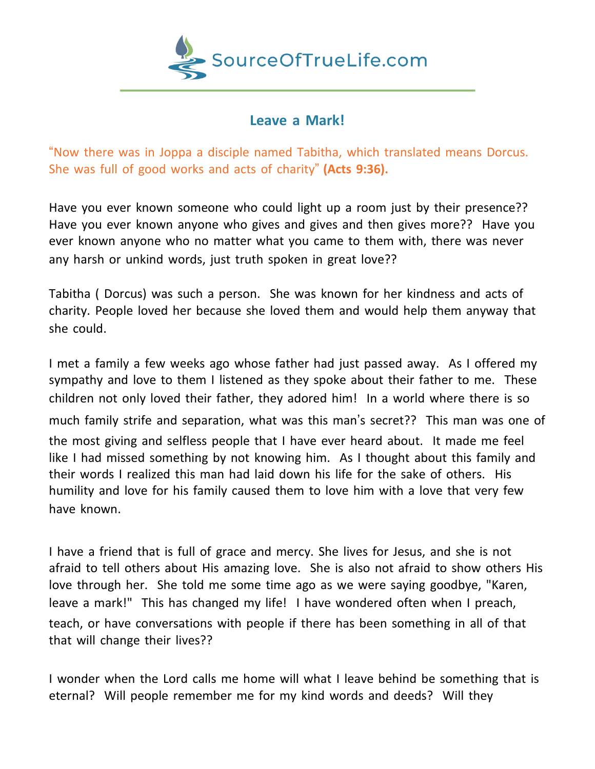

## **Leave a Mark!**

"Now there was in Joppa a disciple named Tabitha, which translated means Dorcus. She was full of good works and acts of charity" **(Acts 9:36).**

Have you ever known someone who could light up a room just by their presence?? Have you ever known anyone who gives and gives and then gives more?? Have you ever known anyone who no matter what you came to them with, there was never any harsh or unkind words, just truth spoken in great love??

Tabitha ( Dorcus) was such a person. She was known for her kindness and acts of charity. People loved her because she loved them and would help them anyway that she could.

I met a family a few weeks ago whose father had just passed away. As I offered my sympathy and love to them I listened as they spoke about their father to me. These children not only loved their father, they adored him! In a world where there is so much family strife and separation, what was this man's secret?? This man was one of the most giving and selfless people that I have ever heard about. It made me feel like I had missed something by not knowing him. As I thought about this family and their words I realized this man had laid down his life for the sake of others. His humility and love for his family caused them to love him with a love that very few have known.

I have a friend that is full of grace and mercy. She lives for Jesus, and she is not afraid to tell others about His amazing love. She is also not afraid to show others His love through her. She told me some time ago as we were saying goodbye, "Karen, leave a mark!" This has changed my life! I have wondered often when I preach, teach, or have conversations with people if there has been something in all of that that will change their lives??

I wonder when the Lord calls me home will what I leave behind be something that is eternal? Will people remember me for my kind words and deeds? Will they